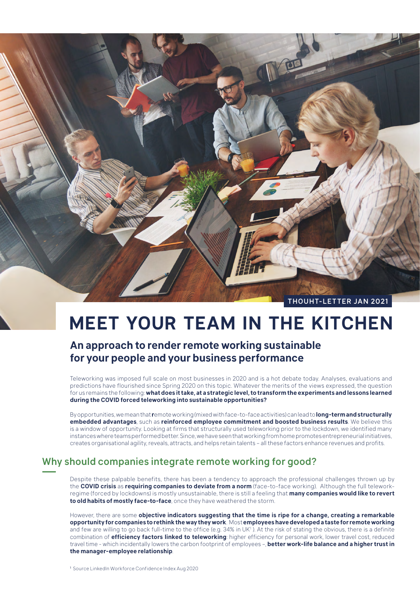

# **MEET YOUR TEAM IN THE KITCHEN**

# **An approach to render remote working sustainable for your people and your business performance**

Teleworking was imposed full scale on most businesses in 2020 and is a hot debate today. Analyses, evaluations and predictions have flourished since Spring 2020 on this topic. Whatever the merits of the views expressed, the question for us remains the following: **what does it take, at a strategic level, to transform the experiments and lessons learned during the COVID forced teleworking into sustainable opportunities?**

By opportunities, we mean that **r**emote working (mixed with face-to-face activities) can lead to **long-term and structurally embedded advantages**, such as **reinforced employee commitment and boosted business results**. We believe this is a window of opportunity. Looking at firms that structurally used teleworking prior to the lockdown, we identified many instances where teams performed better. Since, we have seen that working from home promotes entrepreneurial initiatives, creates organisational agility, reveals, attracts, and helps retain talents – all these factors enhance revenues and profits.

## Why should companies integrate remote working for good?

Despite these palpable benefits, there has been a tendency to approach the professional challenges thrown up by the **COVID crisis** as **requiring companies to deviate from a norm** (face-to-face working). Although the full teleworkregime (forced by lockdowns) is mostly unsustainable, there is still a feeling that **many companies would like to revert to old habits of mostly face-to-face**, once they have weathered the storm.

However, there are some **objective indicators suggesting that the time is ripe for a change, creating a remarkable opportunity for companies to rethink the way they work**. Most **employees have developed a taste for remote working** and few are willing to go back full-time to the office (e.g. 34% in UK<sup>1</sup>). At the risk of stating the obvious, there is a definite combination of **efficiency factors linked to teleworking**: higher efficiency for personal work, lower travel cost, reduced travel time - which incidentally lowers the carbon footprint of employees –, **better work-life balance and a higher trust in the manager-employee relationship**.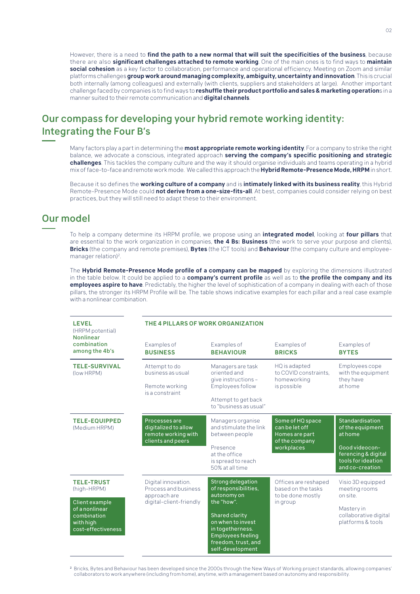However, there is a need to **find the path to a new normal that will suit the specificities of the business**, because there are also **significant challenges attached to remote working**. One of the main ones is to find ways to **maintain social cohesion** as a key factor to collaboration, performance and operational efficiency. Meeting on Zoom and similar platforms challenges **group work around managing complexity, ambiguity, uncertainty and innovation**. This is crucial both internally (among colleagues) and externally (with clients, suppliers and stakeholders at large). Another important challenge faced by companies is to find ways to **reshuffle their product portfolio and sales & marketing operation**s in a manner suited to their remote communication and **digital channels**.

## Our compass for developing your hybrid remote working identity: Integrating the Four B's

Many factors play a part in determining the **most appropriate remote working identity**. For a company to strike the right balance, we advocate a conscious, integrated approach **serving the company's specific positioning and strategic challenges**. This tackles the company culture and the way it should organise individuals and teams operating in a hybrid mix of face-to-face and remote work mode. We called this approach the **Hybrid Remote-Presence Mode, HRPM** in short.

Because it so defines the **working culture of a company** and is **intimately linked with its business reality**, this Hybrid Remote-Presence Mode could **not derive from a one-size-fits-all**. At best, companies could consider relying on best practices, but they will still need to adapt these to their environment.

#### Our model

To help a company determine its HRPM profile, we propose using an **integrated model**, looking at **four pillars** that are essential to the work organization in companies, **the 4 Bs: Business** (the work to serve your purpose and clients), **Bricks** (the company and remote premises), **Bytes** (the ICT tools) and **Behaviour** (the company culture and employeemanager relation)<sup>2</sup>.

The **Hybrid Remote-Presence Mode profile of a company can be mapped** by exploring the dimensions illustrated in the table below. It could be applied to a **company's current profile** as well as to **the profile the company and its employees aspire to have**. Predictably, the higher the level of sophistication of a company in dealing with each of those pillars, the stronger its HRPM Profile will be. The table shows indicative examples for each pillar and a real case example with a nonlinear combination.

| <b>LEVEL</b><br>(HRPM potential)<br><b>Nonlinear</b>                               | THE 4 PILLARS OF WORK ORGANIZATION                                                     |                                                                                                                                              |                                                                                      |                                                                                |
|------------------------------------------------------------------------------------|----------------------------------------------------------------------------------------|----------------------------------------------------------------------------------------------------------------------------------------------|--------------------------------------------------------------------------------------|--------------------------------------------------------------------------------|
| combination<br>among the 4b's                                                      | Examples of<br><b>BUSINESS</b>                                                         | Examples of<br><b>BEHAVIOUR</b>                                                                                                              | Examples of<br><b>BRICKS</b>                                                         | Examples of<br><b>BYTES</b>                                                    |
| <b>TELE-SURVIVAL</b><br>(low HRPM)                                                 | Attempt to do<br>business as usual<br>Remote working                                   | Managers are task<br>oriented and<br>give instructions -<br>Employees follow                                                                 | HQ is adapted<br>to COVID constraints.<br>homeworking<br>is possible                 | Employees cope<br>with the equipment<br>they have<br>at home                   |
|                                                                                    | is a constraint                                                                        | Attempt to get back<br>to "business as usual"                                                                                                |                                                                                      |                                                                                |
| <b>TELE-EQUIPPED</b><br>(Medium HRPM)                                              | Processes are<br>digitalized to allow<br>remote working with<br>clients and peers      | Managers organise<br>and stimulate the link<br>between people                                                                                | Some of HQ space<br>can be let off<br>Homes are part<br>of the company<br>workplaces | Standardisation<br>of the equipment<br>at home                                 |
|                                                                                    |                                                                                        | Presence<br>at the office<br>is spread to reach<br>50% at all time                                                                           |                                                                                      | Good videocon-<br>ferencing & digital<br>tools for ideation<br>and co-creation |
| <b>TELE-TRUST</b><br>(high-HRPM)                                                   | Digital innovation.<br>Process and business<br>approach are<br>digital-client-friendly | <b>Strong delegation</b><br>of responsibilities,<br>autonomy on                                                                              | Offices are reshaped<br>based on the tasks<br>to be done mostly<br>in group          | Visio 3D equipped<br>meeting rooms<br>on site.                                 |
| Client example<br>of a nonlinear<br>combination<br>with high<br>cost-effectiveness |                                                                                        | the "how".<br>Shared clarity<br>on when to invest<br>in togetherness.<br><b>Employees feeling</b><br>freedom, trust, and<br>self-development |                                                                                      | Mastery in<br>collaborative digital<br>platforms & tools                       |

<sup>2</sup> Bricks, Bytes and Behaviour has been developed since the 2000s through the New Ways of Working project standards, allowing companies' collaborators to work anywhere (including from home), anytime, with a management based on autonomy and responsibility.